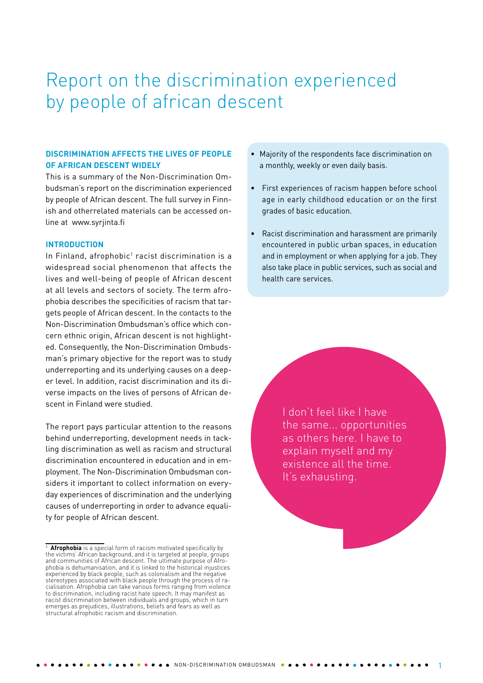# Report on the discrimination experienced by people of african descent

### **DISCRIMINATION AFFECTS THE LIVES OF PEOPLE OF AFRICAN DESCENT WIDELY**

This is a summary of the Non-Discrimination Ombudsman's report on the discrimination experienced by people of African descent. The full survey in Finnish and otherrelated materials can be accessed online at [www.syrjinta.fi](http://www.syrjinta.fi)

#### **INTRODUCTION**

In Finland, afrophobic<sup>1</sup> racist discrimination is a widespread social phenomenon that affects the lives and well-being of people of African descent at all levels and sectors of society. The term afrophobia describes the specificities of racism that targets people of African descent. In the contacts to the Non-Discrimination Ombudsman's office which concern ethnic origin, African descent is not highlighted. Consequently, the Non-Discrimination Ombudsman's primary objective for the report was to study underreporting and its underlying causes on a deeper level. In addition, racist discrimination and its diverse impacts on the lives of persons of African descent in Finland were studied.

The report pays particular attention to the reasons behind underreporting, development needs in tackling discrimination as well as racism and structural discrimination encountered in education and in employment. The Non-Discrimination Ombudsman considers it important to collect information on everyday experiences of discrimination and the underlying causes of underreporting in order to advance equality for people of African descent.

- Majority of the respondents face discrimination on a monthly, weekly or even daily basis.
- First experiences of racism happen before school age in early childhood education or on the first grades of basic education.
- Racist discrimination and harassment are primarily encountered in public urban spaces, in education and in employment or when applying for a job. They also take place in public services, such as social and health care services.

I don't feel like I have the same... opportunities as others here. I have to explain myself and my existence all the time. It's exhausting.

<sup>&</sup>lt;sup>1</sup> **Afrophobia** is a special form of racism motivated specifically by the victims' African background, and it is targeted at people, groups and communities of African descent. The ultimate purpose of Afrophobia is dehumanisation, and it is linked to the historical injustices experienced by black people, such as colonialism and the negative stereotypes associated with black people through the process of racialisation. Afrophobia can take various forms ranging from violence to discrimination, including racist hate speech. It may manifest as racist discrimination between individuals and groups, which in turn emerges as prejudices, illustrations, beliefs and fears as well as structural afrophobic racism and discrimination.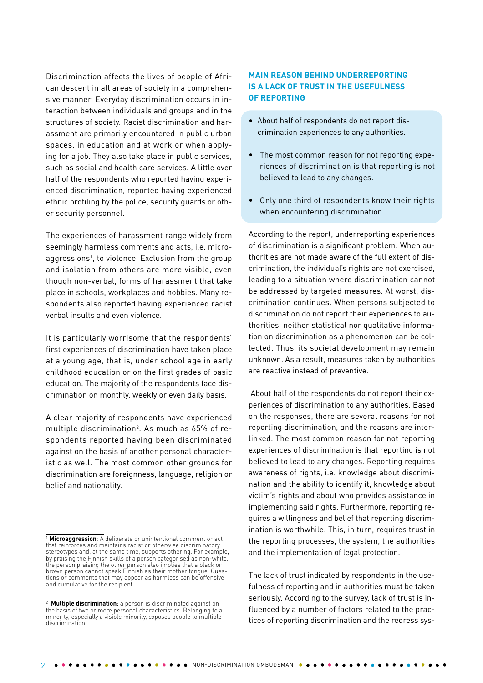Discrimination affects the lives of people of African descent in all areas of society in a comprehensive manner. Everyday discrimination occurs in interaction between individuals and groups and in the structures of society. Racist discrimination and harassment are primarily encountered in public urban spaces, in education and at work or when applying for a job. They also take place in public services, such as social and health care services. A little over half of the respondents who reported having experienced discrimination, reported having experienced ethnic profiling by the police, security guards or other security personnel.

The experiences of harassment range widely from seemingly harmless comments and acts, i.e. microaggressions<sup>1</sup>, to violence. Exclusion from the group and isolation from others are more visible, even though non-verbal, forms of harassment that take place in schools, workplaces and hobbies. Many respondents also reported having experienced racist verbal insults and even violence.

It is particularly worrisome that the respondents' first experiences of discrimination have taken place at a young age, that is, under school age in early childhood education or on the first grades of basic education. The majority of the respondents face discrimination on monthly, weekly or even daily basis.

A clear majority of respondents have experienced multiple discrimination2 . As much as 65% of respondents reported having been discriminated against on the basis of another personal characteristic as well. The most common other grounds for discrimination are foreignness, language, religion or belief and nationality.

### **MAIN REASON BEHIND UNDERREPORTING IS A LACK OF TRUST IN THE USEFULNESS OF REPORTING**

- About half of respondents do not report discrimination experiences to any authorities.
- The most common reason for not reporting experiences of discrimination is that reporting is not believed to lead to any changes.
- Only one third of respondents know their rights when encountering discrimination.

According to the report, underreporting experiences of discrimination is a significant problem. When authorities are not made aware of the full extent of discrimination, the individual's rights are not exercised, leading to a situation where discrimination cannot be addressed by targeted measures. At worst, discrimination continues. When persons subjected to discrimination do not report their experiences to authorities, neither statistical nor qualitative information on discrimination as a phenomenon can be collected. Thus, its societal development may remain unknown. As a result, measures taken by authorities are reactive instead of preventive.

 About half of the respondents do not report their experiences of discrimination to any authorities. Based on the responses, there are several reasons for not reporting discrimination, and the reasons are interlinked. The most common reason for not reporting experiences of discrimination is that reporting is not believed to lead to any changes. Reporting requires awareness of rights, i.e. knowledge about discrimination and the ability to identify it, knowledge about victim's rights and about who provides assistance in implementing said rights. Furthermore, reporting requires a willingness and belief that reporting discrimination is worthwhile. This, in turn, requires trust in the reporting processes, the system, the authorities and the implementation of legal protection.

The lack of trust indicated by respondents in the usefulness of reporting and in authorities must be taken seriously. According to the survey, lack of trust is influenced by a number of factors related to the practices of reporting discrimination and the redress sys-

<sup>1</sup> **Microaggression**: A deliberate or unintentional comment or act that reinforces and maintains racist or otherwise discriminatory stereotypes and, at the same time, supports othering. For example, by praising the Finnish skills of a person categorised as non-white, the person praising the other person also implies that a black or brown person cannot speak Finnish as their mother tongue. Questions or comments that may appear as harmless can be offensive and cumulative for the recipient.

<sup>2</sup> **Multiple discrimination**: a person is discriminated against on the basis of two or more personal characteristics. Belonging to a minority, especially a visible minority, exposes people to multiple discrimination.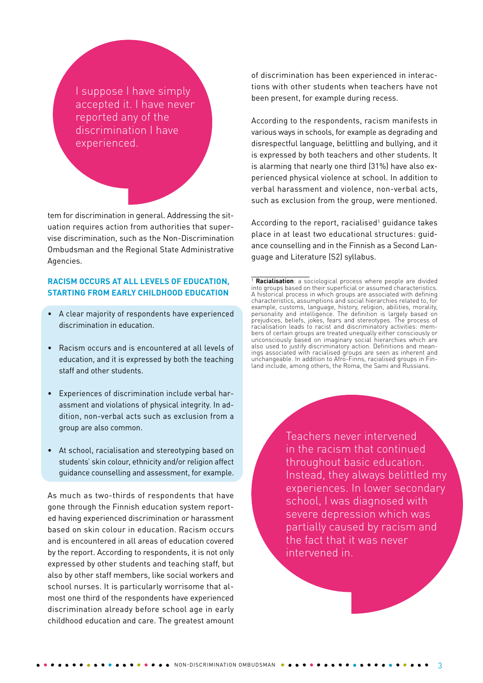I suppose I have simply accepted it. I have never reported any of the discrimination I have experienced.

tem for discrimination in general. Addressing the situation requires action from authorities that supervise discrimination, such as the Non-Discrimination Ombudsman and the Regional State Administrative Agencies.

#### **RACISM OCCURS AT ALL LEVELS OF EDUCATION, STARTING FROM EARLY CHILDHOOD EDUCATION**

- • A clear majority of respondents have experienced discrimination in education.
- Racism occurs and is encountered at all levels of education, and it is expressed by both the teaching staff and other students.
- Experiences of discrimination include verbal harassment and violations of physical integrity. In addition, non-verbal acts such as exclusion from a group are also common.
- At school, racialisation and stereotyping based on students' skin colour, ethnicity and/or religion affect guidance counselling and assessment, for example.

As much as two-thirds of respondents that have gone through the Finnish education system reported having experienced discrimination or harassment based on skin colour in education. Racism occurs and is encountered in all areas of education covered by the report. According to respondents, it is not only expressed by other students and teaching staff, but also by other staff members, like social workers and school nurses. It is particularly worrisome that almost one third of the respondents have experienced discrimination already before school age in early childhood education and care. The greatest amount

of discrimination has been experienced in interactions with other students when teachers have not been present, for example during recess.

According to the respondents, racism manifests in various ways in schools, for example as degrading and disrespectful language, belittling and bullying, and it is expressed by both teachers and other students. It is alarming that nearly one third (31%) have also experienced physical violence at school. In addition to verbal harassment and violence, non-verbal acts, such as exclusion from the group, were mentioned.

According to the report, racialised<sup>1</sup> guidance takes place in at least two educational structures: guidance counselling and in the Finnish as a Second Language and Literature (S2) syllabus.

Teachers never intervened in the racism that continued throughout basic education. Instead, they always belittled my experiences. In lower secondary school, I was diagnosed with severe depression which was partially caused by racism and the fact that it was never intervened in.

<sup>1</sup> **Racialisation**: a sociological process where people are divided into groups based on their superficial or assumed characteristics. A historical process in which groups are associated with defining characteristics, assumptions and social hierarchies related to, for example, customs, language, history, religion, abilities, morality, personality and intelligence. The definition is largely based on prejudices, beliefs, jokes, fears and stereotypes. The process of racialisation leads to racist and discriminatory activities: members of certain groups are treated unequally either consciously or unconsciously based on imaginary social hierarchies which are also used to justify discriminatory action. Definitions and meanings associated with racialised groups are seen as inherent and unchangeable. In addition to Afro-Finns, racialised groups in Finland include, among others, the Roma, the Sami and Russians.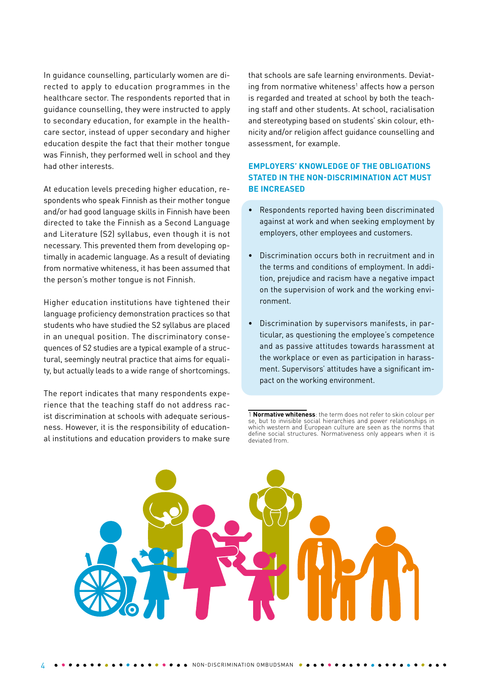In guidance counselling, particularly women are directed to apply to education programmes in the healthcare sector. The respondents reported that in guidance counselling, they were instructed to apply to secondary education, for example in the healthcare sector, instead of upper secondary and higher education despite the fact that their mother tongue was Finnish, they performed well in school and they had other interests.

At education levels preceding higher education, respondents who speak Finnish as their mother tongue and/or had good language skills in Finnish have been directed to take the Finnish as a Second Language and Literature (S2) syllabus, even though it is not necessary. This prevented them from developing optimally in academic language. As a result of deviating from normative whiteness, it has been assumed that the person's mother tongue is not Finnish.

Higher education institutions have tightened their language proficiency demonstration practices so that students who have studied the S2 syllabus are placed in an unequal position. The discriminatory consequences of S2 studies are a typical example of a structural, seemingly neutral practice that aims for equality, but actually leads to a wide range of shortcomings.

The report indicates that many respondents experience that the teaching staff do not address racist discrimination at schools with adequate seriousness. However, it is the responsibility of educational institutions and education providers to make sure that schools are safe learning environments. Deviating from normative whiteness<sup>1</sup> affects how a person is regarded and treated at school by both the teaching staff and other students. At school, racialisation and stereotyping based on students' skin colour, ethnicity and/or religion affect guidance counselling and assessment, for example.

## **EMPLOYERS' KNOWLEDGE OF THE OBLIGATIONS STATED IN THE NON-DISCRIMINATION ACT MUST BE INCREASED**

- Respondents reported having been discriminated against at work and when seeking employment by employers, other employees and customers.
- Discrimination occurs both in recruitment and in the terms and conditions of employment. In addition, prejudice and racism have a negative impact on the supervision of work and the working environment.
- Discrimination by supervisors manifests, in particular, as questioning the employee's competence and as passive attitudes towards harassment at the workplace or even as participation in harassment. Supervisors' attitudes have a significant impact on the working environment.

<sup>1</sup> **Normative whiteness**: the term does not refer to skin colour per se, but to invisible social hierarchies and power relationships in which western and European culture are seen as the norms that define social structures. Normativeness only appears when it is deviated from.

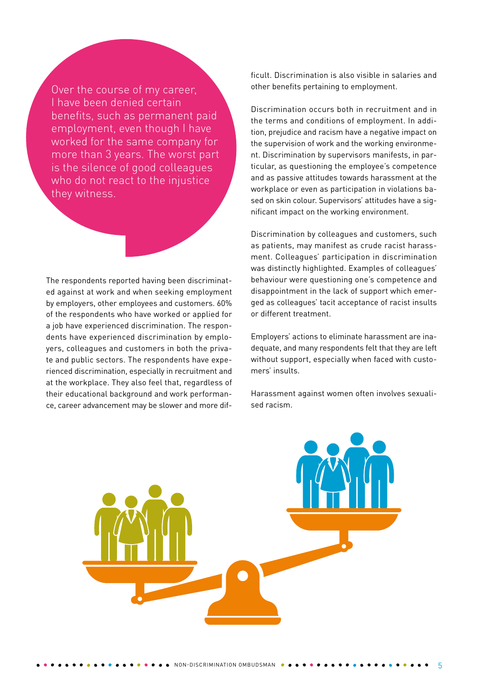Over the course of my career, I have been denied certain benefits, such as permanent paid employment, even though I have worked for the same company for more than 3 years. The worst part is the silence of good colleagues who do not react to the injustice they witness.

The respondents reported having been discriminated against at work and when seeking employment by employers, other employees and customers. 60% of the respondents who have worked or applied for a job have experienced discrimination. The respondents have experienced discrimination by employers, colleagues and customers in both the private and public sectors. The respondents have experienced discrimination, especially in recruitment and at the workplace. They also feel that, regardless of their educational background and work performance, career advancement may be slower and more difficult. Discrimination is also visible in salaries and other benefits pertaining to employment.

Discrimination occurs both in recruitment and in the terms and conditions of employment. In addition, prejudice and racism have a negative impact on the supervision of work and the working environment. Discrimination by supervisors manifests, in particular, as questioning the employee's competence and as passive attitudes towards harassment at the workplace or even as participation in violations based on skin colour. Supervisors' attitudes have a significant impact on the working environment.

Discrimination by colleagues and customers, such as patients, may manifest as crude racist harassment. Colleagues' participation in discrimination was distinctly highlighted. Examples of colleagues' behaviour were questioning one's competence and disappointment in the lack of support which emerged as colleagues' tacit acceptance of racist insults or different treatment.

Employers' actions to eliminate harassment are inadequate, and many respondents felt that they are left without support, especially when faced with customers' insults.

Harassment against women often involves sexualised racism.